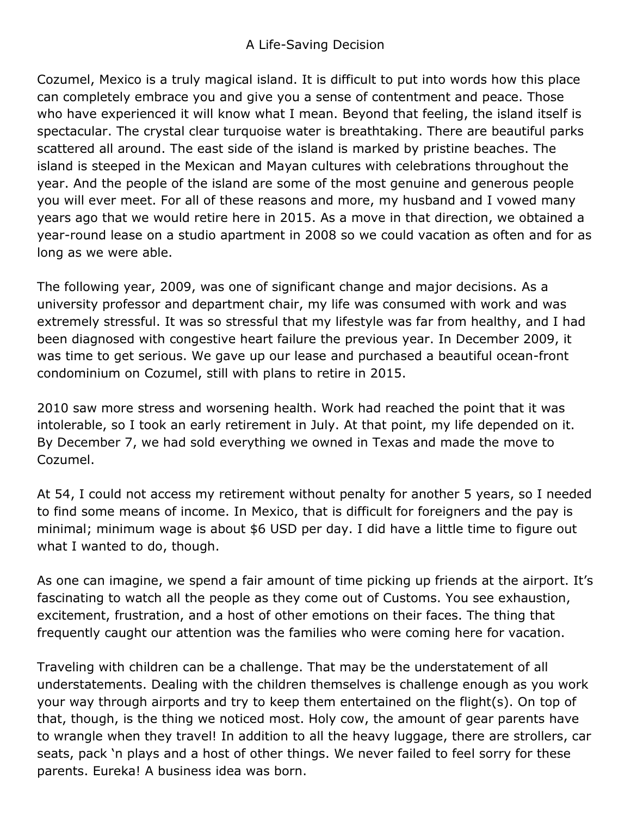## A Life-Saving Decision

Cozumel, Mexico is a truly magical island. It is difficult to put into words how this place can completely embrace you and give you a sense of contentment and peace. Those who have experienced it will know what I mean. Beyond that feeling, the island itself is spectacular. The crystal clear turquoise water is breathtaking. There are beautiful parks scattered all around. The east side of the island is marked by pristine beaches. The island is steeped in the Mexican and Mayan cultures with celebrations throughout the year. And the people of the island are some of the most genuine and generous people you will ever meet. For all of these reasons and more, my husband and I vowed many years ago that we would retire here in 2015. As a move in that direction, we obtained a year-round lease on a studio apartment in 2008 so we could vacation as often and for as long as we were able.

The following year, 2009, was one of significant change and major decisions. As a university professor and department chair, my life was consumed with work and was extremely stressful. It was so stressful that my lifestyle was far from healthy, and I had been diagnosed with congestive heart failure the previous year. In December 2009, it was time to get serious. We gave up our lease and purchased a beautiful ocean-front condominium on Cozumel, still with plans to retire in 2015.

2010 saw more stress and worsening health. Work had reached the point that it was intolerable, so I took an early retirement in July. At that point, my life depended on it. By December 7, we had sold everything we owned in Texas and made the move to Cozumel.

At 54, I could not access my retirement without penalty for another 5 years, so I needed to find some means of income. In Mexico, that is difficult for foreigners and the pay is minimal; minimum wage is about \$6 USD per day. I did have a little time to figure out what I wanted to do, though.

As one can imagine, we spend a fair amount of time picking up friends at the airport. It's fascinating to watch all the people as they come out of Customs. You see exhaustion, excitement, frustration, and a host of other emotions on their faces. The thing that frequently caught our attention was the families who were coming here for vacation.

Traveling with children can be a challenge. That may be the understatement of all understatements. Dealing with the children themselves is challenge enough as you work your way through airports and try to keep them entertained on the flight(s). On top of that, though, is the thing we noticed most. Holy cow, the amount of gear parents have to wrangle when they travel! In addition to all the heavy luggage, there are strollers, car seats, pack 'n plays and a host of other things. We never failed to feel sorry for these parents. Eureka! A business idea was born.